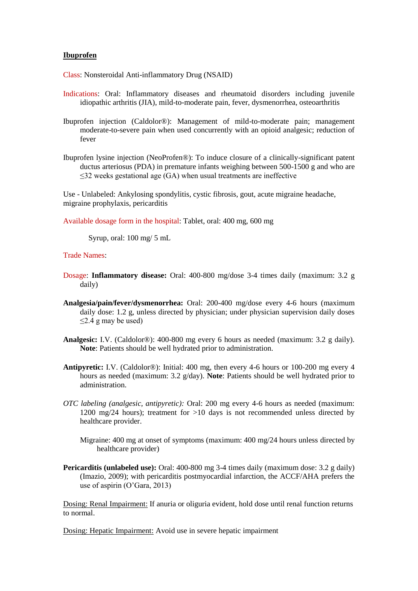## **Ibuprofen**

Class: Nonsteroidal Anti-inflammatory Drug (NSAID)

- Indications: Oral: Inflammatory diseases and rheumatoid disorders including juvenile idiopathic arthritis (JIA), mild-to-moderate pain, fever, dysmenorrhea, osteoarthritis
- Ibuprofen injection (Caldolor®): Management of mild-to-moderate pain; management moderate-to-severe pain when used concurrently with an opioid analgesic; reduction of fever
- Ibuprofen lysine injection (NeoProfen®): To induce closure of a clinically-significant patent ductus arteriosus (PDA) in premature infants weighing between 500-1500 g and who are  $\leq$ 32 weeks gestational age (GA) when usual treatments are ineffective

Use - Unlabeled: Ankylosing spondylitis, cystic fibrosis, gout, acute migraine headache, migraine prophylaxis, pericarditis

Available dosage form in the hospital: Tablet, oral: 400 mg, 600 mg

Syrup, oral: 100 mg/ 5 mL

Trade Names:

- Dosage: **Inflammatory disease:** Oral: 400-800 mg/dose 3-4 times daily (maximum: 3.2 g daily)
- **Analgesia/pain/fever/dysmenorrhea:** Oral: 200-400 mg/dose every 4-6 hours (maximum daily dose: 1.2 g, unless directed by physician; under physician supervision daily doses ≤2.4 g may be used)
- **Analgesic:** I.V. (Caldolor®): 400-800 mg every 6 hours as needed (maximum: 3.2 g daily). **Note**: Patients should be well hydrated prior to administration.
- **Antipyretic:** I.V. (Caldolor®): Initial: 400 mg, then every 4-6 hours or 100-200 mg every 4 hours as needed (maximum: 3.2 g/day). **Note**: Patients should be well hydrated prior to administration.
- *OTC labeling (analgesic, antipyretic):* Oral: 200 mg every 4-6 hours as needed (maximum: 1200 mg/24 hours); treatment for >10 days is not recommended unless directed by healthcare provider.

Migraine: 400 mg at onset of symptoms (maximum: 400 mg/24 hours unless directed by healthcare provider)

**Pericarditis (unlabeled use):** Oral: 400-800 mg 3-4 times daily (maximum dose: 3.2 g daily) (Imazio, 2009); with pericarditis postmyocardial infarction, the ACCF/AHA prefers the use of aspirin (O'Gara, 2013)

Dosing: Renal Impairment: If anuria or oliguria evident, hold dose until renal function returns to normal.

Dosing: Hepatic Impairment: Avoid use in severe hepatic impairment